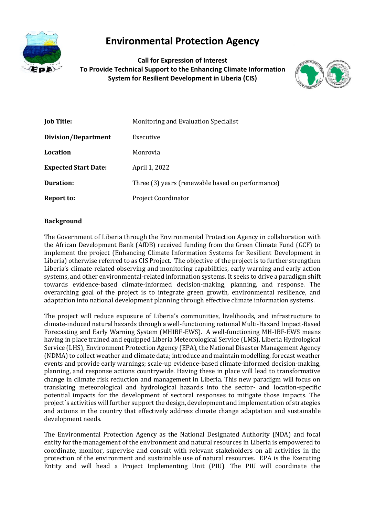

# **Environmental Protection Agency**

**Call for Expression of Interest To Provide Technical Support to the Enhancing Climate Information System for Resilient Development in Liberia (CIS)**



| <b>Job Title:</b>           | Monitoring and Evaluation Specialist             |
|-----------------------------|--------------------------------------------------|
| <b>Division/Department</b>  | Executive                                        |
| <b>Location</b>             | Monrovia                                         |
| <b>Expected Start Date:</b> | April 1, 2022                                    |
| Duration:                   | Three (3) years (renewable based on performance) |
| Report to:                  | <b>Project Coordinator</b>                       |

# **Background**

The Government of Liberia through the Environmental Protection Agency in collaboration with the African Development Bank (AfDB) received funding from the Green Climate Fund (GCF) to implement the project (Enhancing Climate Information Systems for Resilient Development in Liberia) otherwise referred to as CIS Project. The objective of the project is to further strengthen Liberia's climate-related observing and monitoring capabilities, early warning and early action systems, and other environmental-related information systems. It seeks to drive a paradigm shift towards evidence-based climate-informed decision-making, planning, and response. The overarching goal of the project is to integrate green growth, environmental resilience, and adaptation into national development planning through effective climate information systems.

The project will reduce exposure of Liberia's communities, livelihoods, and infrastructure to climate-induced natural hazards through a well-functioning national Multi-Hazard Impact-Based Forecasting and Early Warning System (MHIBF-EWS). A well-functioning MH-IBF-EWS means having in place trained and equipped Liberia Meteorological Service (LMS), Liberia Hydrological Service (LHS), Environment Protection Agency (EPA), the National Disaster Management Agency (NDMA) to collect weather and climate data; introduce and maintain modelling, forecast weather events and provide early warnings; scale-up evidence-based climate-informed decision-making, planning, and response actions countrywide. Having these in place will lead to transformative change in climate risk reduction and management in Liberia. This new paradigm will focus on translating meteorological and hydrological hazards into the sector- and location-specific potential impacts for the development of sectoral responses to mitigate those impacts. The project´s activities will further support the design, development and implementation of strategies and actions in the country that effectively address climate change adaptation and sustainable development needs.

The Environmental Protection Agency as the National Designated Authority (NDA) and focal entity for the management of the environment and natural resources in Liberia is empowered to coordinate, monitor, supervise and consult with relevant stakeholders on all activities in the protection of the environment and sustainable use of natural resources. EPA is the Executing Entity and will head a Project Implementing Unit (PIU). The PIU will coordinate the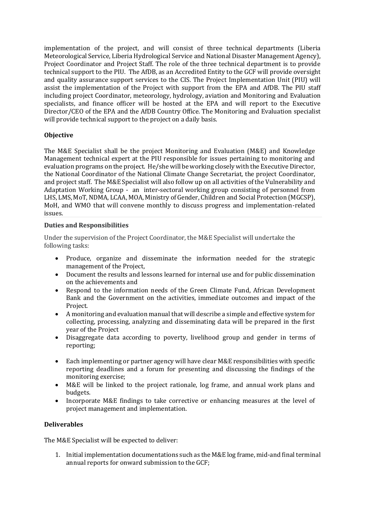implementation of the project, and will consist of three technical departments (Liberia Meteorological Service, Liberia Hydrological Service and National Disaster Management Agency), Project Coordinator and Project Staff. The role of the three technical department is to provide technical support to the PIU. The AfDB, as an Accredited Entity to the GCF will provide oversight and quality assurance support services to the CIS. The Project Implementation Unit (PIU) will assist the implementation of the Project with support from the EPA and AfDB. The PIU staff including project Coordinator, meteorology, hydrology, aviation and Monitoring and Evaluation specialists, and finance officer will be hosted at the EPA and will report to the Executive Director/CEO of the EPA and the AfDB Country Office. The Monitoring and Evaluation specialist will provide technical support to the project on a daily basis.

# **Objective**

The M&E Specialist shall be the project Monitoring and Evaluation (M&E) and Knowledge Management technical expert at the PIU responsible for issues pertaining to monitoring and evaluation programs on the project. He/she will be working closely with the Executive Director, the National Coordinator of the National Climate Change Secretariat, the project Coordinator, and project staff. The M&E Specialist will also follow up on all activities of the Vulnerability and Adaptation Working Group - an inter-sectoral working group consisting of personnel from LHS, LMS, MoT, NDMA, LCAA, MOA, Ministry of Gender, Children and Social Protection (MGCSP), MoH, and WMO that will convene monthly to discuss progress and implementation-related issues.

# **Duties and Responsibilities**

Under the supervision of the Project Coordinator, the M&E Specialist will undertake the following tasks:

- Produce, organize and disseminate the information needed for the strategic management of the Project,
- Document the results and lessons learned for internal use and for public dissemination on the achievements and
- Respond to the information needs of the Green Climate Fund, African Development Bank and the Government on the activities, immediate outcomes and impact of the Project.
- A monitoring and evaluation manual that will describe a simple and effective system for collecting, processing, analyzing and disseminating data will be prepared in the first year of the Project
- Disaggregate data according to poverty, livelihood group and gender in terms of reporting;
- Each implementing or partner agency will have clear M&E responsibilities with specific reporting deadlines and a forum for presenting and discussing the findings of the monitoring exercise;
- M&E will be linked to the project rationale, log frame, and annual work plans and budgets.
- Incorporate M&E findings to take corrective or enhancing measures at the level of project management and implementation.

# **Deliverables**

The M&E Specialist will be expected to deliver:

1. Initial implementation documentations such as the M&E log frame, mid-and final terminal annual reports for onward submission to the GCF;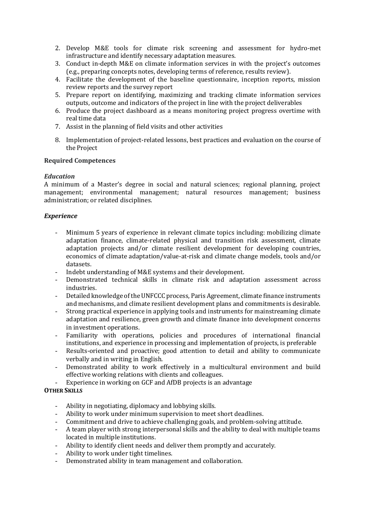- 2. Develop M&E tools for climate risk screening and assessment for hydro-met infrastructure and identify necessary adaptation measures.
- 3. Conduct in-depth M&E on climate information services in with the project's outcomes (e.g., preparing concepts notes, developing terms of reference, results review).
- 4. Facilitate the development of the baseline questionnaire, inception reports, mission review reports and the survey report
- 5. Prepare report on identifying, maximizing and tracking climate information services outputs, outcome and indicators of the project in line with the project deliverables
- 6. Produce the project dashboard as a means monitoring project progress overtime with real time data
- 7. Assist in the planning of field visits and other activities
- 8. Implementation of project-related lessons, best practices and evaluation on the course of the Project

### **Required Competences**

### *Education*

A minimum of a Master's degree in social and natural sciences; regional planning, project management; environmental management; natural resources management; business administration; or related disciplines.

### *Experience*

- Minimum 5 years of experience in relevant climate topics including: mobilizing climate adaptation finance, climate-related physical and transition risk assessment, climate adaptation projects and/or climate resilient development for developing countries, economics of climate adaptation/value-at-risk and climate change models, tools and/or datasets.
- Indebt understanding of M&E systems and their development.
- Demonstrated technical skills in climate risk and adaptation assessment across industries.
- Detailed knowledge of the UNFCCC process, Paris Agreement, climate finance instruments and mechanisms, and climate resilient development plans and commitments is desirable.
- Strong practical experience in applying tools and instruments for mainstreaming climate adaptation and resilience, green growth and climate finance into development concerns in investment operations.
- Familiarity with operations, policies and procedures of international financial institutions, and experience in processing and implementation of projects, is preferable
- Results-oriented and proactive; good attention to detail and ability to communicate verbally and in writing in English.
- Demonstrated ability to work effectively in a multicultural environment and build effective working relations with clients and colleagues.
- Experience in working on GCF and AfDB projects is an advantage

# **OTHER SKILLS**

- Ability in negotiating, diplomacy and lobbying skills.
- Ability to work under minimum supervision to meet short deadlines.
- Commitment and drive to achieve challenging goals, and problem-solving attitude.
- A team player with strong interpersonal skills and the ability to deal with multiple teams located in multiple institutions.
- Ability to identify client needs and deliver them promptly and accurately.
- Ability to work under tight timelines.
- Demonstrated ability in team management and collaboration.